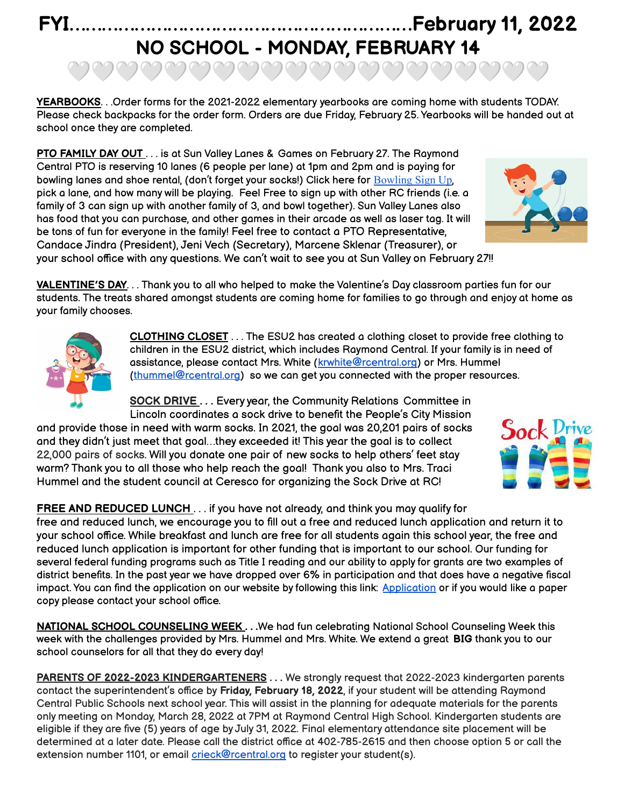## **FYI………………………………………………………February 11, 2022 NO SCHOOL - MONDAY, FEBRUARY 14**

ಅವವವವವವವವವವವವವವವವ

**YEARBOOKS**. . .Order forms for the 2021-2022 elementary yearbooks are coming home with students TODAY. Please check backpacks for the order form. Orders are due Friday, February 25. Yearbooks will be handed out at school once they are completed.

**PTO FAMILY DAY OUT** . . . is at Sun Valley Lanes & Games on February 27. The Raymond Central PTO is reserving 10 lanes (6 people per lane) at 1pm and 2pm and is paying for bowling lanes and shoe rental, (don't forget your socks!) Click here for [Bowling](https://www.signupgenius.com/go/20f0c4fa8a62ca4ff2-sunvalley) Sign Up, pick a lane, and how many will be playing. Feel Free to sign up with other RC friends (i.e. a family of 3 can sign up with another family of 3, and bowl together). Sun Valley Lanes also has food that you can purchase, and other games in their arcade as well as laser tag. It will be tons of fun for everyone in the family! Feel free to contact a PTO Representative, Candace Jindra (President), Jeni Vech (Secretary), Marcene Sklenar (Treasurer), or your school office with any questions. We can't wait to see you at Sun Valley on February 27!!



**CLOTHING CLOSET** . . . The ESU2 has created a clothing closet to provide free clothing to children in the ESU2 district, which includes Raymond Central. If your family is in need of assistance, please contact Mrs. White ([krwhite@rcentral.org](mailto:krwhite@rcentral.org)) or Mrs. Hummel [\(thummel@rcentral.org\)](mailto:thummel@rcentral.org) so we can get you connected with the proper resources.

**SOCK DRIVE . . .** Every year, the Community Relations Committee in Lincoln coordinates a sock drive to benefit the People's City Mission

and provide those in need with warm socks. In 2021, the goal was 20,201 pairs of socks and they didn't just meet that goal…they exceeded it! This year the goal is to collect 22,000 pairs of socks. Will you donate one pair of new socks to help others' feet stay warm? Thank you to all those who help reach the goal! Thank you also to Mrs. Traci Hummel and the student council at Ceresco for organizing the Sock Drive at RC!

**FREE AND REDUCED LUNCH** . . . if you have not already, and think you may qualify for

free and reduced lunch, we encourage you to fill out a free and reduced lunch application and return it to your school office. While breakfast and lunch are free for all students again this school year, the free and reduced lunch application is important for other funding that is important to our school. Our funding for several federal funding programs such as Title I reading and our ability to apply for grants are two examples of district benefits. In the past year we have dropped over 6% in participation and that does have a negative fiscal impact. You can find the application on our website by following this link: [Application](https://www.rcentral.org/vimages/shared/vnews/stories/610823256345e/Free%20&%20Reduced%20Lunch%20Application%202021-2022.pdf) or if you would like a paper copy please contact your school office.

**NATIONAL SCHOOL COUNSELING WEEK . . .**We had fun celebrating National School Counseling Week this week with the challenges provided by Mrs. Hummel and Mrs. White. We extend a great **BIG** thank you to our school counselors for all that they do every day!

**PARENTS OF 2022-2023 KINDERGARTENERS . . .** We strongly request that 2022-2023 kindergarten parents contact the superintendent's office by **Friday, February 18, 2022**, if your student will be attending Raymond Central Public Schools next school year. This will assist in the planning for adequate materials for the parents only meeting on Monday, March 28, 2022 at 7PM at Raymond Central High School. Kindergarten students are eligible if they are five (5) years of age by July 31, 2022. Final elementary attendance site placement will be determined at a later date. Please call the district office at 402-785-2615 and then choose option 5 or call the extension number 1101, or email *crieck@rcentral.org* to register your student(s).





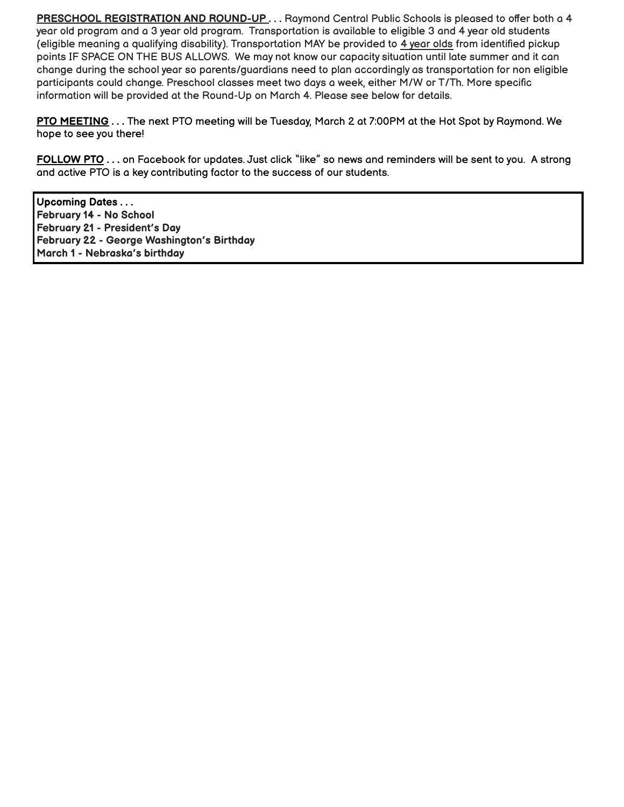**PRESCHOOL REGISTRATION AND ROUND-UP . . .** Raymond Central Public Schools is pleased to offer both a 4 year old program and a 3 year old program. Transportation is available to eligible 3 and 4 year old students (eligible meaning a qualifying disability). Transportation MAY be provided to 4 year olds from identified pickup points IF SPACE ON THE BUS ALLOWS. We may not know our capacity situation until late summer and it can change during the school year so parents/guardians need to plan accordingly as transportation for non eligible participants could change. Preschool classes meet two days a week, either M/W or T/Th. More specific information will be provided at the Round-Up on March 4. Please see below for details.

**PTO MEETING . . .** The next PTO meeting will be Tuesday, March 2 at 7:00PM at the Hot Spot by Raymond. We hope to see you there!

**FOLLOW PTO . . .** on Facebook for updates. Just click "like" so news and reminders will be sent to you. A strong and active PTO is a key contributing factor to the success of our students.

**Upcoming Dates . . . February 14 - No School February 21 - President's Day February 22 - George Washington's Birthday March 1 - Nebraska's birthday**